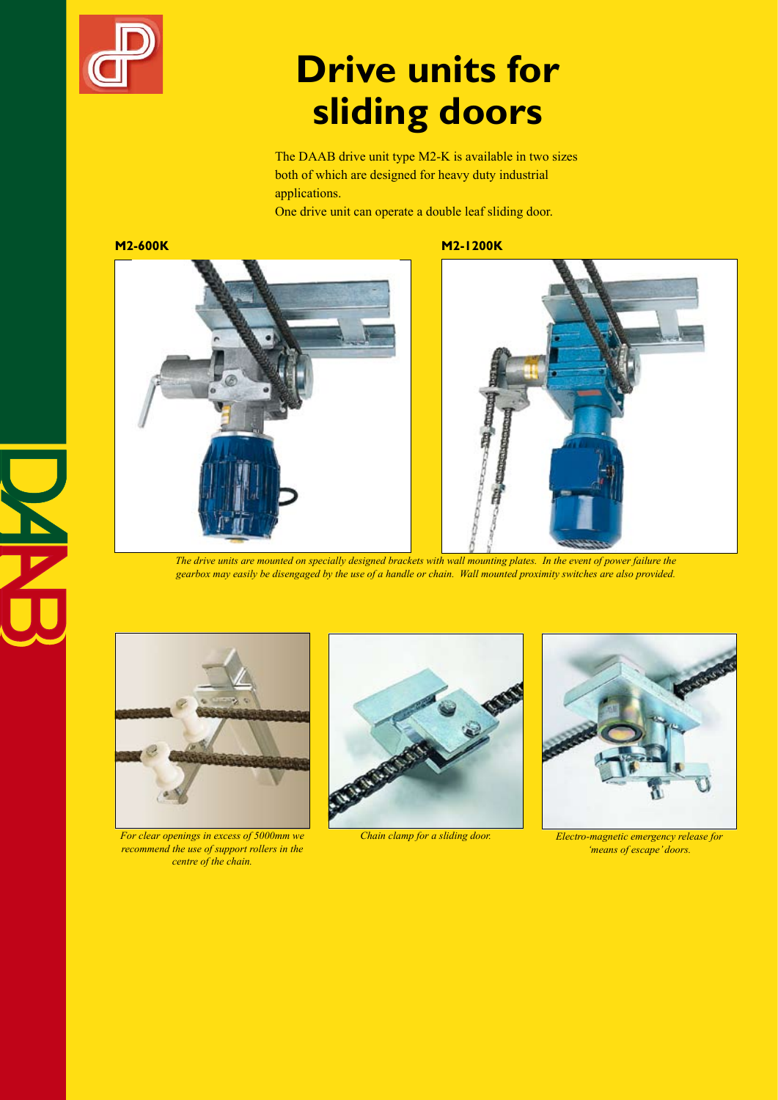

# **Drive units for sliding doors**

The DAAB drive unit type M2-K is available in two sizes both of which are designed for heavy duty industrial applications.

One drive unit can operate a double leaf sliding door.

**M2-600K M2-1200K**





*The drive units are mounted on specially designed brackets with wall mounting plates. In the event of power failure the gearbox may easily be disengaged by the use of a handle or chain. Wall mounted proximity switches are also provided.*



*For clear openings in excess of 5000mm we recommend the use of support rollers in the centre of the chain.*





*Chain clamp for a sliding door. Electro-magnetic emergency release for 'means of escape' doors.*